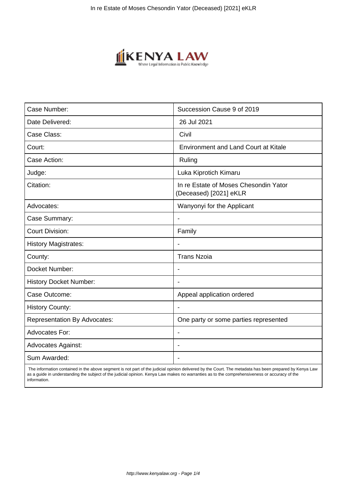

| Case Number:                        | Succession Cause 9 of 2019                                      |
|-------------------------------------|-----------------------------------------------------------------|
| Date Delivered:                     | 26 Jul 2021                                                     |
| Case Class:                         | Civil                                                           |
| Court:                              | <b>Environment and Land Court at Kitale</b>                     |
| Case Action:                        | Ruling                                                          |
| Judge:                              | Luka Kiprotich Kimaru                                           |
| Citation:                           | In re Estate of Moses Chesondin Yator<br>(Deceased) [2021] eKLR |
| Advocates:                          | Wanyonyi for the Applicant                                      |
| Case Summary:                       |                                                                 |
| <b>Court Division:</b>              | Family                                                          |
| <b>History Magistrates:</b>         | $\blacksquare$                                                  |
| County:                             | <b>Trans Nzoia</b>                                              |
| Docket Number:                      |                                                                 |
| <b>History Docket Number:</b>       |                                                                 |
| Case Outcome:                       | Appeal application ordered                                      |
| <b>History County:</b>              | $\blacksquare$                                                  |
| <b>Representation By Advocates:</b> | One party or some parties represented                           |
| <b>Advocates For:</b>               | $\blacksquare$                                                  |
| <b>Advocates Against:</b>           | $\blacksquare$                                                  |
| Sum Awarded:                        |                                                                 |

 The information contained in the above segment is not part of the judicial opinion delivered by the Court. The metadata has been prepared by Kenya Law as a guide in understanding the subject of the judicial opinion. Kenya Law makes no warranties as to the comprehensiveness or accuracy of the information.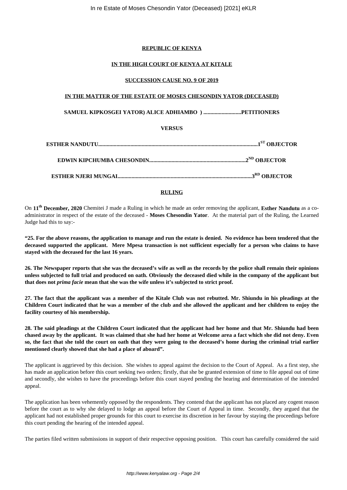# **REPUBLIC OF KENYA**

# IN THE HIGH COURT OF KENYA AT KITALE

## **SUCCESSION CAUSE NO. 9 OF 2019**

## IN THE MATTER OF THE ESTATE OF MOSES CHESONDIN YATOR (DECEASED)

### **VERSUS**

### **RULING**

On 11<sup>th</sup> December, 2020 Chemitei J made a Ruling in which he made an order removing the applicant, Esther Nandutu as a coadministrator in respect of the estate of the deceased - Moses Chesondin Yator. At the material part of the Ruling, the Learned Judge had this to say:-

"25. For the above reasons, the application to manage and run the estate is denied. No evidence has been tendered that the deceased supported the applicant. Mere Mpesa transaction is not sufficient especially for a person who claims to have staved with the deceased for the last 16 years.

26. The Newspaper reports that she was the deceased's wife as well as the records by the police shall remain their opinions unless subjected to full trial and produced on oath. Obviously the deceased died while in the company of the applicant but that does not *prima facie* mean that she was the wife unless it's subjected to strict proof.

27. The fact that the applicant was a member of the Kitale Club was not rebutted. Mr. Shiundu in his pleadings at the Children Court indicated that he was a member of the club and she allowed the applicant and her children to enjoy the facility courtesy of his membership.

28. The said pleadings at the Children Court indicated that the applicant had her home and that Mr. Shiundu had been chased away by the applicant. It was claimed that she had her home at Welcome area a fact which she did not deny. Even so, the fact that she told the court on oath that they were going to the deceased's home during the criminal trial earlier mentioned clearly showed that she had a place of aboard".

The applicant is aggrieved by this decision. She wishes to appeal against the decision to the Court of Appeal. As a first step, she has made an application before this court seeking two orders; firstly, that she be granted extension of time to file appeal out of time and secondly, she wishes to have the proceedings before this court stayed pending the hearing and determination of the intended appeal.

The application has been vehemently opposed by the respondents. They contend that the applicant has not placed any cogent reason before the court as to why she delayed to lodge an appeal before the Court of Appeal in time. Secondly, they argued that the applicant had not established proper grounds for this court to exercise its discretion in her favour by staying the proceedings before this court pending the hearing of the intended appeal.

The parties filed written submissions in support of their respective opposing position. This court has carefully considered the said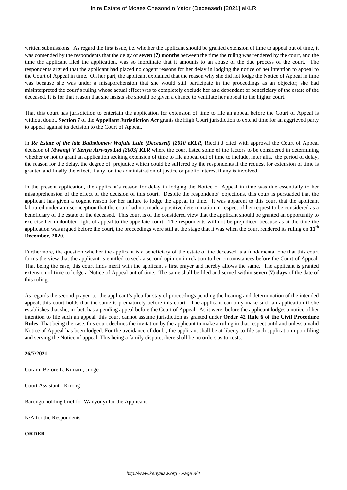written submissions. As regard the first issue, i.e. whether the applicant should be granted extension of time to appeal out of time, it was contended by the respondents that the delay of **seven (7) months** between the time the ruling was rendered by the court, and the time the applicant filed the application, was so inordinate that it amounts to an abuse of the due process of the court. The respondents argued that the applicant had placed no cogent reasons for her delay in lodging the notice of her intention to appeal to the Court of Appeal in time. On her part, the applicant explained that the reason why she did not lodge the Notice of Appeal in time was because she was under a misapprehension that she would still participate in the proceedings as an objector; she had misinterpreted the court's ruling whose actual effect was to completely exclude her as a dependant or beneficiary of the estate of the deceased. It is for that reason that she insists she should be given a chance to ventilate her appeal to the higher court.

That this court has jurisdiction to entertain the application for extension of time to file an appeal before the Court of Appeal is without doubt. **Section 7** of the **Appellant Jurisdiction Act** grants the High Court jurisdiction to extend time for an aggrieved party to appeal against its decision to the Court of Appeal.

In *Re Estate of the late Batholomew Wafula Lule (Deceased) [2010 eKLR*, Riechi J cited with approval the Court of Appeal decision of *Mwangi V Kenya Airways Ltd [2003] KLR* where the court listed some of the factors to be considered in determining whether or not to grant an application seeking extension of time to file appeal out of time to include, inter alia, the period of delay, the reason for the delay, the degree of prejudice which could be suffered by the respondents if the request for extension of time is granted and finally the effect, if any, on the administration of justice or public interest if any is involved.

In the present application, the applicant's reason for delay in lodging the Notice of Appeal in time was due essentially to her misapprehension of the effect of the decision of this court. Despite the respondents' objections, this court is persuaded that the applicant has given a cogent reason for her failure to lodge the appeal in time. It was apparent to this court that the applicant laboured under a misconception that the court had not made a positive determination in respect of her request to be considered as a beneficiary of the estate of the deceased. This court is of the considered view that the applicant should be granted an opportunity to exercise her undoubted right of appeal to the appellate court. The respondents will not be prejudiced because as at the time the application was argued before the court, the proceedings were still at the stage that it was when the court rendered its ruling on **11th December, 2020**.

Furthermore, the question whether the applicant is a beneficiary of the estate of the deceased is a fundamental one that this court forms the view that the applicant is entitled to seek a second opinion in relation to her circumstances before the Court of Appeal. That being the case, this court finds merit with the applicant's first prayer and hereby allows the same. The applicant is granted extension of time to lodge a Notice of Appeal out of time. The same shall be filed and served within **seven (7) days** of the date of this ruling.

As regards the second prayer i.e. the applicant's plea for stay of proceedings pending the hearing and determination of the intended appeal, this court holds that the same is prematurely before this court. The applicant can only make such an application if she establishes that she, in fact, has a pending appeal before the Court of Appeal. As it were, before the applicant lodges a notice of her intention to file such an appeal, this court cannot assume jurisdiction as granted under **Order 42 Rule 6 of the Civil Procedure Rules**. That being the case, this court declines the invitation by the applicant to make a ruling in that respect until and unless a valid Notice of Appeal has been lodged. For the avoidance of doubt, the applicant shall be at liberty to file such application upon filing and serving the Notice of appeal. This being a family dispute, there shall be no orders as to costs.

#### **26/7/2021**

Coram: Before L. Kimaru, Judge

Court Assistant - Kirong

Barongo holding brief for Wanyonyi for the Applicant

N/A for the Respondents

#### **ORDER**